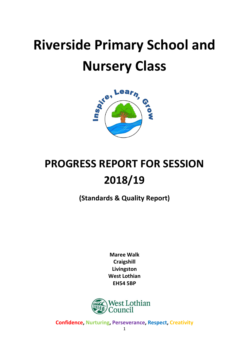# **Riverside Primary School and Nursery Class**



# **PROGRESS REPORT FOR SESSION 2018/19**

**(Standards & Quality Report)**

**Maree Walk Craigshill Livingston West Lothian EH54 5BP**

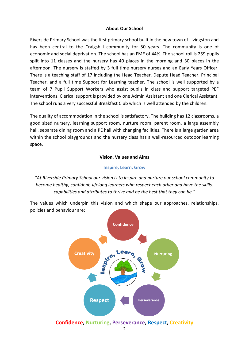#### **About Our School**

Riverside Primary School was the first primary school built in the new town of Livingston and has been central to the Craigshill community for 50 years. The community is one of economic and social deprivation. The school has an FME of 44%. The school roll is 259 pupils split into 11 classes and the nursery has 40 places in the morning and 30 places in the afternoon. The nursery is staffed by 3 full time nursery nurses and an Early Years Officer. There is a teaching staff of 17 including the Head Teacher, Depute Head Teacher, Principal Teacher, and a full time Support for Learning teacher. The school is well supported by a team of 7 Pupil Support Workers who assist pupils in class and support targeted PEF interventions. Clerical support is provided by one Admin Assistant and one Clerical Assistant. The school runs a very successful Breakfast Club which is well attended by the children.

The quality of accommodation in the school is satisfactory. The building has 12 classrooms, a good sized nursery, learning support room, nurture room, parent room, a large assembly hall, separate dining room and a PE hall with changing facilities. There is a large garden area within the school playgrounds and the nursery class has a well-resourced outdoor learning space.

#### **Vision, Values and Aims**

#### **Inspire, Learn, Grow**

*"At Riverside Primary School our vision is to inspire and nurture our school community to become healthy, confident, lifelong learners who respect each other and have the skills, capabilities and attributes to thrive and be the best that they can be."*

The values which underpin this vision and which shape our approaches, relationships, policies and behaviour are:

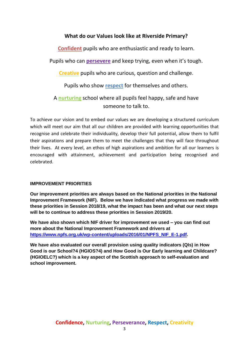# **What do our Values look like at Riverside Primary?**

**Confident** pupils who are enthusiastic and ready to learn.

Pupils who can **persevere** and keep trying, even when it's tough.

**Creative** pupils who are curious, question and challenge.

Pupils who show **respect** for themselves and others.

A **nurturing** school where all pupils feel happy, safe and have someone to talk to.

To achieve our vision and to embed our values we are developing a structured curriculum which will meet our aim that all our children are provided with learning opportunities that recognise and celebrate their individuality, develop their full potential, allow them to fulfil their aspirations and prepare them to meet the challenges that they will face throughout their lives. At every level, an ethos of high aspirations and ambition for all our learners is encouraged with attainment, achievement and participation being recognised and celebrated.

#### **IMPROVEMENT PRIORITIES**

**Our improvement priorities are always based on the National priorities in the National Improvement Framework (NIF). Below we have indicated what progress we made with these priorities in Session 2018/19, what the impact has been and what our next steps will be to continue to address these priorities in Session 2019/20.**

**We have also shown which NIF driver for improvement we used – you can find out more about the National Improvement Framework and drivers at [https://www.npfs.org.uk/wp-content/uploads/2016/01/NPFS\\_NIF\\_E-1.pdf.](https://www.npfs.org.uk/wp-content/uploads/2016/01/NPFS_NIF_E-1.pdf)**

**We have also evaluated our overall provision using quality indicators (QIs) in How Good is our School?4 (HGIOS?4) and How Good is Our Early learning and Childcare? (HGIOELC?) which is a key aspect of the Scottish approach to self-evaluation and school improvement.**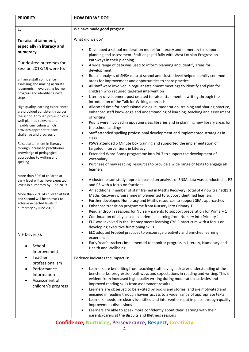| <b>PRIORITY</b>                                                                                                                                                                                                                                                                                                                                                                                                                                                                                                                                                           | <b>HOW DID WE DO?</b>                                                                                                                                                                                                                                                                                                                                                                                                                                                                                                                                                                                                                                                                                                                                                                                                                                                                                                                                                                                                                                                                                                                                                                                                                                                                               |  |
|---------------------------------------------------------------------------------------------------------------------------------------------------------------------------------------------------------------------------------------------------------------------------------------------------------------------------------------------------------------------------------------------------------------------------------------------------------------------------------------------------------------------------------------------------------------------------|-----------------------------------------------------------------------------------------------------------------------------------------------------------------------------------------------------------------------------------------------------------------------------------------------------------------------------------------------------------------------------------------------------------------------------------------------------------------------------------------------------------------------------------------------------------------------------------------------------------------------------------------------------------------------------------------------------------------------------------------------------------------------------------------------------------------------------------------------------------------------------------------------------------------------------------------------------------------------------------------------------------------------------------------------------------------------------------------------------------------------------------------------------------------------------------------------------------------------------------------------------------------------------------------------------|--|
| 1.                                                                                                                                                                                                                                                                                                                                                                                                                                                                                                                                                                        | We have made good progress.                                                                                                                                                                                                                                                                                                                                                                                                                                                                                                                                                                                                                                                                                                                                                                                                                                                                                                                                                                                                                                                                                                                                                                                                                                                                         |  |
| To raise attainment,<br>especially in literacy and<br>numeracy<br>Our desired outcomes for<br>Session 2018/19 were to:<br>Enhance staff confidence in<br>assessing and making accurate<br>judgments in evaluating learner<br>progress and identifying next<br>steps<br>High quality learning experiences<br>are provided consistently across<br>the school through provision of a<br>well-planned relevant and<br>flexible curriculum which<br>provides appropriate pace,<br>challenge and progression<br>Raised attainment in literacy<br>through increased practitioner | What did we do?<br>Developed a school moderation model for literacy and numeracy to support<br>planning and assessment. Staff engaged fully with West Lothian Progression<br>Pathways in their planning<br>A wide range of data was used to inform planning and identify areas for<br>development<br>Robust analysis of SNSA data at school and cluster level helped identify common<br>$\bullet$<br>areas for improvement and opportunities to share practice<br>All staff were involved in regular attainment meetings to identify and plan for<br>٠<br>children who required targeted intervention<br>Literacy development post created to raise attainment in writing through the<br>$\bullet$<br>introduction of the Talk for Writing approach<br>Allocated time for professional dialogue, moderation, training and sharing practice,<br>$\bullet$<br>enhanced staff knowledge and understanding of learning, teaching and assessment<br>of writing<br>Pupils were involved in updating class libraries and in planning new library areas for<br>$\bullet$<br>the school landings<br>Staff attended spelling professional development and implemented strategies in<br>class<br>PSWs attended 5 Minute Box training and supported the implementation of<br>targeted interventions in Literacy |  |
| knowledge of pedagogical<br>approaches to writing and<br>spelling                                                                                                                                                                                                                                                                                                                                                                                                                                                                                                         | Extended Word Boost programme into P4-7 to support the development of<br>vocabulary<br>Purchase of new reading resources to provide a wide range of texts to engage all<br>learners                                                                                                                                                                                                                                                                                                                                                                                                                                                                                                                                                                                                                                                                                                                                                                                                                                                                                                                                                                                                                                                                                                                 |  |
| More than 80% of children at<br>early level will achieve expected<br>levels in numeracy by June 2019<br>More than 70% of children at first<br>and second will be on track to<br>achieve expected levels in<br>numeracy by June 2019.                                                                                                                                                                                                                                                                                                                                      | A cluster lesson study approach based on analysis of SNSA data was conducted at P2<br>and P5 with a focus on fractions<br>An additional member of staff trained in Maths Recovery (total of 4 now trained)1:1<br>$\bullet$<br>Maths Recovery programme implemented to support identified learners<br>Further developed Numeracy and Maths resources to support SEAL approaches<br>Enhanced transition programme from Nursery into Primary 1<br>٠<br>Regular drop in sessions for Nursery parents to support preparation for Primary 1<br>Continuation of play based experiential learning from Nursery into Primary 1<br>ELC was involved in the Literacy meets learning CYPIC practicum with a focus on<br>$\bullet$<br>developing executive functioning skills                                                                                                                                                                                                                                                                                                                                                                                                                                                                                                                                    |  |
| NIF Driver(s):<br>School<br>Improvement<br>Teacher<br>professionalism<br>Performance<br>Information<br>Assessment of<br>children's progress                                                                                                                                                                                                                                                                                                                                                                                                                               | ELC adopted Froebel practices to encourage creativity and enriched learning<br>experiences<br>Early Year's trackers implemented to monitor progress in Literacy, Numeracy and<br>Health and Wellbeing<br>Evidence indicates the impact is:<br>Learners are benefiting from teaching staff having a clearer understanding of the<br>benchmarks, progression pathways and expectations in reading and writing. This is<br>evident from increased high quality writing during moderation activities and<br>improved reading skills from assessment results<br>Learners are observed to be excited by books and stories, and are motivated and<br>engaged in reading through having access to a wider range of appropriate texts<br>Learners' needs are clearly identified and interventions put in place through quality<br>improvement discussions<br>Learners are able to speak more confidently about their learning with their<br>parents/carers at the Biscuits and Blethers sessions                                                                                                                                                                                                                                                                                                             |  |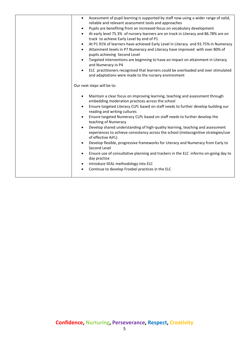| Assessment of pupil learning is supported by staff now using a wider range of valid,<br>$\bullet$<br>reliable and relevant assessment tools and approaches<br>Pupils are benefiting from an increased focus on vocabulary development<br>$\bullet$<br>At early level 75.3% of nursery learners are on track in Literacy and 86.78% are on<br>$\bullet$<br>track to achieve Early Level by end of P1<br>At P1 91% of learners have achieved Early Level in Literacy and 93.75% in Numeracy<br>$\bullet$<br>Attainment levels in P7 Numeracy and Literacy have improved with over 80% of<br>$\bullet$<br>pupils achieving Second Level<br>Targeted interventions are beginning to have an impact on attainment in Literacy<br>$\bullet$<br>and Numeracy in P4<br>ELC practitioners recognised that learners could be overloaded and over stimulated<br>$\bullet$                                                                    |
|-----------------------------------------------------------------------------------------------------------------------------------------------------------------------------------------------------------------------------------------------------------------------------------------------------------------------------------------------------------------------------------------------------------------------------------------------------------------------------------------------------------------------------------------------------------------------------------------------------------------------------------------------------------------------------------------------------------------------------------------------------------------------------------------------------------------------------------------------------------------------------------------------------------------------------------|
| and adaptations were made to the nursery environment<br>Our next steps will be to:                                                                                                                                                                                                                                                                                                                                                                                                                                                                                                                                                                                                                                                                                                                                                                                                                                                |
| Maintain a clear focus on improving learning, teaching and assessment through<br>$\bullet$<br>embedding moderation practices across the school<br>Ensure targeted Literacy CLPL based on staff needs to further develop building our<br>$\bullet$<br>reading and writing cultures<br>Ensure targeted Numeracy CLPL based on staff needs to further develop the<br>$\bullet$<br>teaching of Numeracy<br>Develop shared understanding of high-quality learning, teaching and assessment<br>experiences to achieve consistency across the school (metacognitive strategies/use<br>of effective AiFL)<br>Develop flexible, progressive frameworks for Literacy and Numeracy from Early to<br>$\bullet$<br>Second Level<br>Ensure use of consultative planning and trackers in the ELC informs on-going day to<br>$\bullet$<br>day practice<br>Introduce SEAL methodology into ELC<br>Continue to develop Froebel practices in the ELC |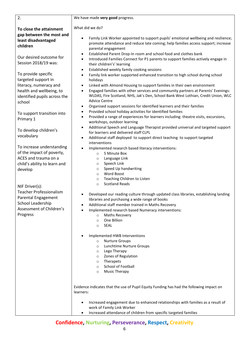| 2.                                                                                                                                          | We have made very good progress.                                                                                                                                                                                                                                                                                                                                                        |
|---------------------------------------------------------------------------------------------------------------------------------------------|-----------------------------------------------------------------------------------------------------------------------------------------------------------------------------------------------------------------------------------------------------------------------------------------------------------------------------------------------------------------------------------------|
| To close the attainment<br>gap between the most and                                                                                         | What did we do?                                                                                                                                                                                                                                                                                                                                                                         |
| least disadvantaged<br>children                                                                                                             | Family Link Worker appointed to support pupils' emotional wellbeing and resilience;<br>promote attendance and reduce late coming; help families access support; increase<br>parental engagement                                                                                                                                                                                         |
| Our desired outcome for<br>Session 2018/19 was:                                                                                             | Established Parent Drop-In room and school food and clothes bank<br>$\bullet$<br>Introduced Families Connect for P1 parents to support families actively engage in<br>$\bullet$<br>their children's' learning<br>Established weekly family cooking sessions<br>$\bullet$                                                                                                                |
| To provide specific<br>targeted support in                                                                                                  | Family link worker supported enhanced transition to high school during school<br>$\bullet$<br>holidays<br>$\bullet$                                                                                                                                                                                                                                                                     |
| literacy, numeracy and<br>health and wellbeing, to<br>identified pupils across the<br>school                                                | Linked with Almond Housing to support families in their own environment<br>Engaged families with other services and community partners at Parents' Evenings:<br>WLDAS, Fire Scotland, NHS, Jak's Den, School Bank West Lothian, Credit Union, WLC<br><b>Advice Centre</b>                                                                                                               |
| To support transition into                                                                                                                  | Organised support sessions for identified learners and their families<br>٠<br>Provided school holiday activities for identified families<br>$\bullet$<br>Provided a range of experiences for learners including: theatre visits, excursions,<br>$\bullet$                                                                                                                               |
| Primary 1<br>To develop children's                                                                                                          | workshops, outdoor learning<br>Additional Speech and Language Therapist provided universal and targeted support<br>$\bullet$                                                                                                                                                                                                                                                            |
| vocabulary                                                                                                                                  | for learners and delivered staff CLPL<br>Additional staff deployed to support direct teaching to support targeted<br>interventions                                                                                                                                                                                                                                                      |
| To increase understanding<br>of the impact of poverty,<br>ACES and trauma on a<br>child's ability to learn and<br>develop                   | Implemented research based literacy interventions:<br>5 Minute Box<br>$\circ$<br>Language Link<br>$\circ$<br>Speech Link<br>$\circ$<br>Speed Up handwriting<br>$\circ$<br>Word Boost<br>$\circ$<br>Teaching Children to Listen<br>$\circ$                                                                                                                                               |
| NIF Driver(s):<br><b>Teacher Professionalism</b><br><b>Parental Engagement</b><br>School Leadership<br>Assessment of Children's<br>Progress | <b>Scotland Reads</b><br>$\circ$<br>Developed our reading culture through updated class libraries, establishing landing<br>libraries and purchasing a wide range of books<br>Additional staff member trained in Maths Recovery<br>٠<br>Implemented research based Numeracy interventions:<br>$\bullet$<br>Maths Recovery<br>$\circ$<br>One Billion<br>$\circ$<br><b>SEAL</b><br>$\circ$ |
|                                                                                                                                             | Implemented HWB Interventions<br><b>Nurture Groups</b><br>$\circ$<br>Lunchtime Nurture Groups<br>$\circ$<br>Lego Therapy<br>$\circ$<br>Zones of Regulation<br>$\circ$<br>Therapets<br>$\circ$<br>School of Football<br>$\circ$<br><b>Music Therapy</b><br>$\circ$                                                                                                                       |
|                                                                                                                                             | Evidence indicates that the use of Pupil Equity Funding has had the following impact on<br>learners:                                                                                                                                                                                                                                                                                    |
|                                                                                                                                             | Increased engagement due to enhanced relationships with families as a result of<br>work of Family Link Worker<br>Increased attendance of children from specific targeted families<br>$\bullet$                                                                                                                                                                                          |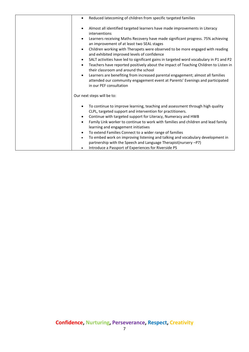| Reduced latecoming of children from specific targeted families<br>$\bullet$                                                                                                                                                                                                                                         |
|---------------------------------------------------------------------------------------------------------------------------------------------------------------------------------------------------------------------------------------------------------------------------------------------------------------------|
| Almost all identified targeted learners have made improvements in Literacy<br>$\bullet$<br>interventions                                                                                                                                                                                                            |
| Learners receiving Maths Recovery have made significant progress. 75% achieving<br>$\bullet$<br>an improvement of at least two SEAL stages                                                                                                                                                                          |
| Children working with Therapets were observed to be more engaged with reading<br>$\bullet$<br>and exhibited improved levels of confidence                                                                                                                                                                           |
| SALT activities have led to significant gains in targeted word vocabulary in P1 and P2<br>$\bullet$<br>Teachers have reported positively about the impact of Teaching Children to Listen in<br>$\bullet$<br>their classroom and around the school                                                                   |
| Learners are benefiting from increased parental engagement; almost all families<br>$\bullet$<br>attended our community engagement event at Parents' Evenings and participated<br>in our PEF consultation                                                                                                            |
| Our next steps will be to:                                                                                                                                                                                                                                                                                          |
| To continue to improve learning, teaching and assessment through high quality<br>CLPL, targeted support and intervention for practitioners.<br>Continue with targeted support for Literacy, Numeracy and HWB<br>٠<br>Family Link worker to continue to work with families and children and lead family<br>$\bullet$ |
| learning and engagement initiatives<br>To extend Families Connect to a wider range of families<br>$\bullet$<br>To embed work on improving listening and talking and vocabulary development in<br>$\bullet$<br>partnership with the Speech and Language Therapist(nursery -P7)                                       |
| Introduce a Passport of Experiences for Riverside PS<br>$\bullet$                                                                                                                                                                                                                                                   |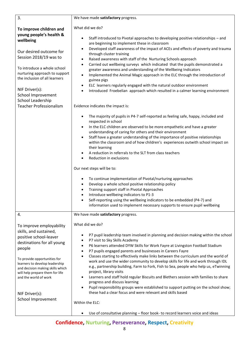| 3.                                                                                                                                                                                                                                                                                                                             | We have made satisfactory progress.                                                                                                                                                                                                                                                                                                                                                                                                                                                                                                                                                                                                                                                                                                                                                                                                                                                                                                                                                |  |
|--------------------------------------------------------------------------------------------------------------------------------------------------------------------------------------------------------------------------------------------------------------------------------------------------------------------------------|------------------------------------------------------------------------------------------------------------------------------------------------------------------------------------------------------------------------------------------------------------------------------------------------------------------------------------------------------------------------------------------------------------------------------------------------------------------------------------------------------------------------------------------------------------------------------------------------------------------------------------------------------------------------------------------------------------------------------------------------------------------------------------------------------------------------------------------------------------------------------------------------------------------------------------------------------------------------------------|--|
| To improve children and<br>young people's health &<br>wellbeing<br>Our desired outcome for<br>Session 2018/19 was to<br>To introduce a whole school<br>nurturing approach to support<br>the inclusion of all learners<br>NIF Driver(s):<br>School Improvement<br>School Leadership                                             | What did we do?<br>Staff introduced to Pivotal approaches to developing positive relationships - and<br>$\bullet$<br>are beginning to implement these in classroom<br>Developed staff awareness of the impact of ACEs and effects of poverty and trauma<br>through cluster training<br>Raised awareness with staff of the Nurturing Schools approach<br>٠<br>Carried out wellbeing surveys which indicated that the pupils demonstrated a<br>$\bullet$<br>greater awareness and understanding of the Wellbeing Indicators<br>Implemented the Animal Magic approach in the ELC through the introduction of<br>$\bullet$<br>guinea pigs<br>ELC learners regularly engaged with the natural outdoor environment<br>$\bullet$<br>Introduced Froebelian approach which resulted in a calmer learning environment<br>$\bullet$                                                                                                                                                           |  |
| <b>Teacher Professionalism</b>                                                                                                                                                                                                                                                                                                 | Evidence indicates the impact is:                                                                                                                                                                                                                                                                                                                                                                                                                                                                                                                                                                                                                                                                                                                                                                                                                                                                                                                                                  |  |
|                                                                                                                                                                                                                                                                                                                                | The majority of pupils in P4-7 self-reported as feeling safe, happy, included and<br>respected in school<br>In the ELC children are observed to be more empathetic and have a greater<br>$\bullet$<br>understanding of caring for others and their environment<br>Staff have a greater understanding of the importance of positive relationships<br>$\bullet$<br>within the classroom and of how children's experiences outwith school impact on<br>their learning<br>A reduction in referrals to the SLT from class teachers<br>Reduction in exclusions<br>Our next steps will be to:<br>To continue implementation of Pivotal/nurturing approaches<br>$\bullet$<br>Develop a whole school positive relationship policy<br>٠<br>Training support staff in Pivotal Approaches<br>Introduce wellbeing indicators to P1-3<br>Self-reporting using the wellbeing indicators to be embedded (P4-7) and<br>information used to implement necessary supports to ensure pupil wellbeing   |  |
| 4.                                                                                                                                                                                                                                                                                                                             | We have made satisfactory progress.                                                                                                                                                                                                                                                                                                                                                                                                                                                                                                                                                                                                                                                                                                                                                                                                                                                                                                                                                |  |
| To improve employability<br>skills, and sustained,<br>positive school-leaver<br>destinations for all young<br>people<br>To provide opportunities for<br>learners to develop leadership<br>and decision making skills which<br>will help prepare them for life<br>and the world of work<br>NIF Driver(s):<br>School Improvement | What did we do?<br>P7 pupil leadership team involved in planning and decision making within the school<br>P7 visit to Sky Skills Academy<br>P6 learners attended DYW Skills for Work Fayre at Livingston Football Stadium<br>P7 pupils engaged parents and businesses in Careers Fayre<br>Classes starting to effectively make links between the curriculum and the world of<br>$\bullet$<br>work and use the wider community to develop skills for life and work through IDL<br>e.g., partnership building, Farm to Fork, Fish to Sea, people who help us, eTwinning<br>project, library visits<br>Learners and staff hold regular Biscuits and Blethers session with families to share<br>progress and discuss learning<br>Pupil responsibility groups were established to support putting on the school show;<br>these had a clear focus and were relevant and skills based<br>Within the ELC:<br>Use of consultative planning - floor book- to record learners voice and ideas |  |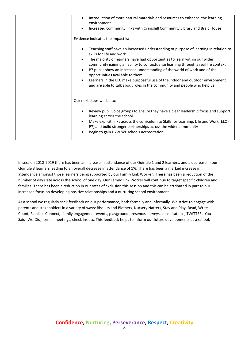| Introduction of more natural materials and resources to enhance the learning<br>environment<br>Increased community links with Craigshill Community Library and Braid House                                                                                                                                                                                                                                                                                                                                                                                       |
|------------------------------------------------------------------------------------------------------------------------------------------------------------------------------------------------------------------------------------------------------------------------------------------------------------------------------------------------------------------------------------------------------------------------------------------------------------------------------------------------------------------------------------------------------------------|
| Evidence indicates the impact is:                                                                                                                                                                                                                                                                                                                                                                                                                                                                                                                                |
| Teaching staff have an increased understanding of purpose of learning in relation to<br>skills for life and work<br>The majority of learners have had opportunities to learn within our wider<br>community gaining an ability to contextualise learning through a real life context<br>P7 pupils show an increased understanding of the world of work and of the<br>opportunities available to them<br>Learners in the ELC make purposeful use of the indoor and outdoor environment<br>and are able to talk about roles in the community and people who help us |
| Our next steps will be to:                                                                                                                                                                                                                                                                                                                                                                                                                                                                                                                                       |
| Review pupil voice groups to ensure they have a clear leadership focus and support<br>$\bullet$<br>learning across the school<br>Make explicit links across the curriculum to Skills for Learning, Life and Work (ELC -<br>$\bullet$<br>P7) and build stronger partnerships across the wider community<br>Begin to gain DYW WL schools accreditation                                                                                                                                                                                                             |

In session 2018-2019 there has been an increase in attendance of our Quintile 1 and 2 learners, and a decrease in our Quintile 3 learners leading to an overall decrease in attendance of 1%. There has been a marked increase in attendance amongst those learners being supported by our Family Link Worker. There has been a reduction of the number of days late across the school of one day. Our Family Link Worker will continue to target specific children and families. There has been a reduction in our rates of exclusion this session and this can be attributed in part to our increased focus on developing positive relationships and a nurturing school environment.

As a school we regularly seek feedback on our performance, both formally and informally. We strive to engage with parents and stakeholders in a variety of ways: Biscuits and Blethers, Nursery Natters, Stay and Play, Read, Write, Count, Families Connect, family engagement events, playground presence, surveys, consultations, TWITTER, You-Said- We-Did, formal meetings, check ins etc. This feedback helps to inform our future developments as a school.